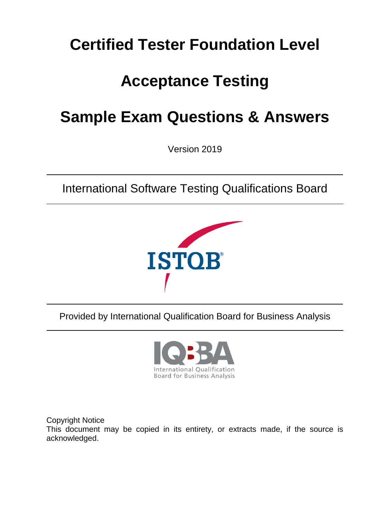# **Certified Tester Foundation Level**

# **Acceptance Testing**

# **Sample Exam Questions & Answers**

Version 2019

International Software Testing Qualifications Board



Provided by International Qualification Board for Business Analysis



Copyright Notice This document may be copied in its entirety, or extracts made, if the source is acknowledged.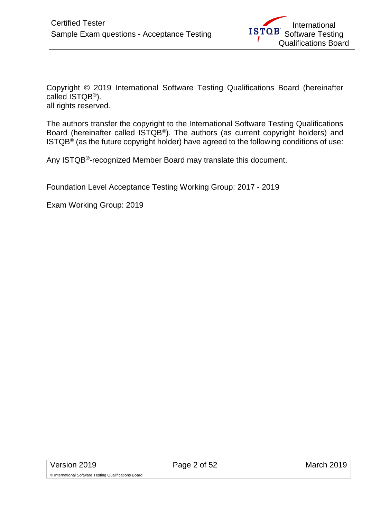Copyright © 2019 International Software Testing Qualifications Board (hereinafter called ISTQB®). all rights reserved.

The authors transfer the copyright to the International Software Testing Qualifications Board (hereinafter called ISTQB®). The authors (as current copyright holders) and  $ISTQB<sup>®</sup>$  (as the future copyright holder) have agreed to the following conditions of use:

Any ISTQB®-recognized Member Board may translate this document.

Foundation Level Acceptance Testing Working Group: 2017 - 2019

Exam Working Group: 2019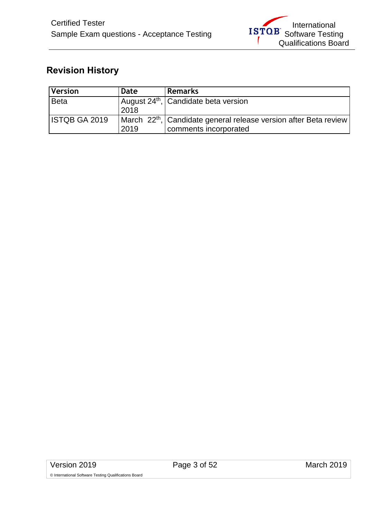# <span id="page-2-0"></span>**Revision History**

| <i><b>Version</b></i> | Date | <b>Remarks</b>                                                               |
|-----------------------|------|------------------------------------------------------------------------------|
| <b>Beta</b>           |      | August 24 <sup>th</sup> , Candidate beta version                             |
|                       | 2018 |                                                                              |
| <b>ISTQB GA 2019</b>  |      | March 22 <sup>th</sup> , Candidate general release version after Beta review |
|                       | 2019 | comments incorporated                                                        |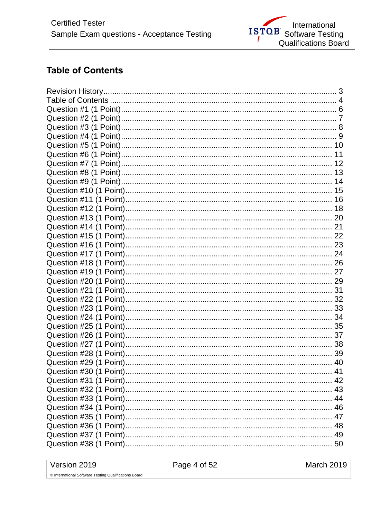## <span id="page-3-0"></span>**Table of Contents**

| 42 |
|----|
|    |
|    |
|    |
|    |
|    |
|    |
|    |

Version 2019

March 2019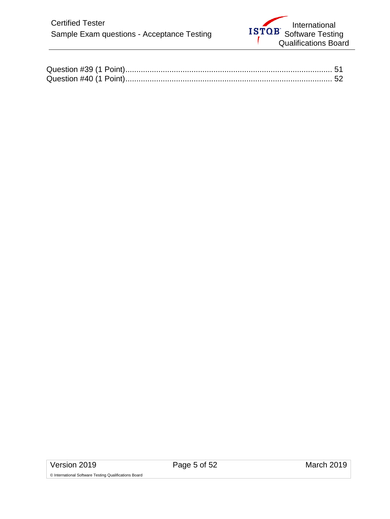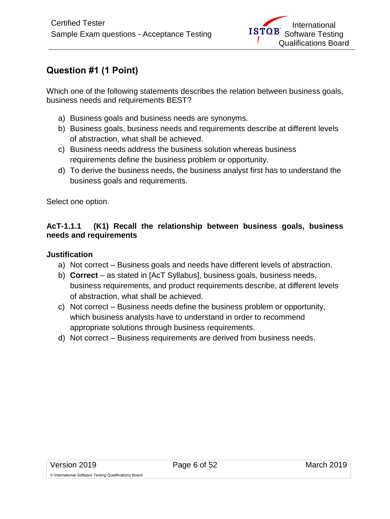# <span id="page-5-0"></span>**Question #1 (1 Point)**

Which one of the following statements describes the relation between business goals, business needs and requirements BEST?

- a) Business goals and business needs are synonyms.
- b) Business goals, business needs and requirements describe at different levels of abstraction, what shall be achieved.
- c) Business needs address the business solution whereas business requirements define the business problem or opportunity.
- d) To derive the business needs, the business analyst first has to understand the business goals and requirements.

Select one option.

## **AcT-1.1.1 (K1) Recall the relationship between business goals, business needs and requirements**

#### **Justification**

- a) Not correct Business goals and needs have different levels of abstraction.
- b) **Correct**  as stated in [AcT Syllabus], business goals, business needs, business requirements, and product requirements describe, at different levels of abstraction, what shall be achieved.
- c) Not correct Business needs define the business problem or opportunity, which business analysts have to understand in order to recommend appropriate solutions through business requirements.
- d) Not correct Business requirements are derived from business needs.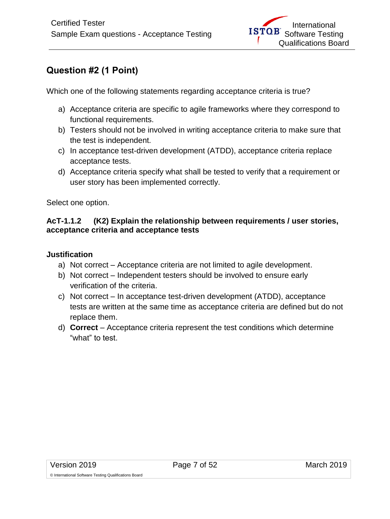# <span id="page-6-0"></span>**Question #2 (1 Point)**

Which one of the following statements regarding acceptance criteria is true?

- a) Acceptance criteria are specific to agile frameworks where they correspond to functional requirements.
- b) Testers should not be involved in writing acceptance criteria to make sure that the test is independent.
- c) In acceptance test-driven development (ATDD), acceptance criteria replace acceptance tests.
- d) Acceptance criteria specify what shall be tested to verify that a requirement or user story has been implemented correctly.

Select one option.

#### **AcT-1.1.2 (K2) Explain the relationship between requirements / user stories, acceptance criteria and acceptance tests**

- a) Not correct Acceptance criteria are not limited to agile development.
- b) Not correct Independent testers should be involved to ensure early verification of the criteria.
- c) Not correct In acceptance test-driven development (ATDD), acceptance tests are written at the same time as acceptance criteria are defined but do not replace them.
- d) **Correct**  Acceptance criteria represent the test conditions which determine "what" to test.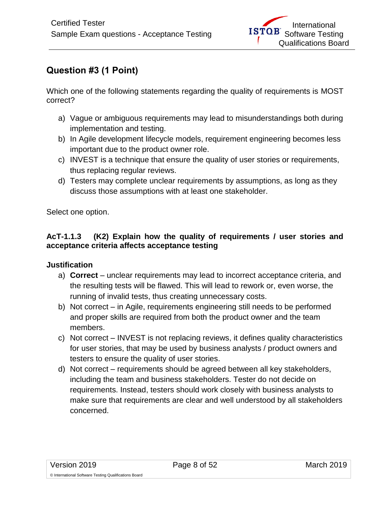# <span id="page-7-0"></span>**Question #3 (1 Point)**

Which one of the following statements regarding the quality of requirements is MOST correct?

- a) Vague or ambiguous requirements may lead to misunderstandings both during implementation and testing.
- b) In Agile development lifecycle models, requirement engineering becomes less important due to the product owner role.
- c) INVEST is a technique that ensure the quality of user stories or requirements, thus replacing regular reviews.
- d) Testers may complete unclear requirements by assumptions, as long as they discuss those assumptions with at least one stakeholder.

Select one option.

## **AcT-1.1.3 (K2) Explain how the quality of requirements / user stories and acceptance criteria affects acceptance testing**

- a) **Correct**  unclear requirements may lead to incorrect acceptance criteria, and the resulting tests will be flawed. This will lead to rework or, even worse, the running of invalid tests, thus creating unnecessary costs.
- b) Not correct in Agile, requirements engineering still needs to be performed and proper skills are required from both the product owner and the team members.
- c) Not correct INVEST is not replacing reviews, it defines quality characteristics for user stories, that may be used by business analysts / product owners and testers to ensure the quality of user stories.
- d) Not correct requirements should be agreed between all key stakeholders, including the team and business stakeholders. Tester do not decide on requirements. Instead, testers should work closely with business analysts to make sure that requirements are clear and well understood by all stakeholders concerned.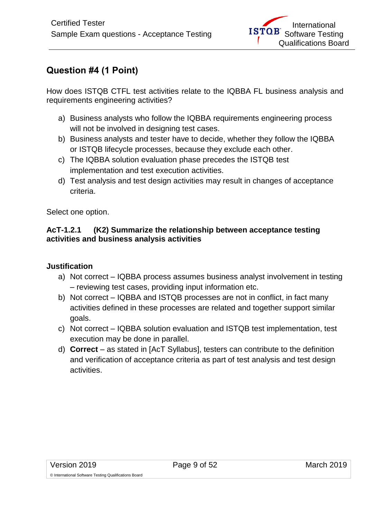## <span id="page-8-0"></span>**Question #4 (1 Point)**

How does ISTQB CTFL test activities relate to the IQBBA FL business analysis and requirements engineering activities?

- a) Business analysts who follow the IQBBA requirements engineering process will not be involved in designing test cases.
- b) Business analysts and tester have to decide, whether they follow the IQBBA or ISTQB lifecycle processes, because they exclude each other.
- c) The IQBBA solution evaluation phase precedes the ISTQB test implementation and test execution activities.
- d) Test analysis and test design activities may result in changes of acceptance criteria.

Select one option.

#### **AcT-1.2.1 (K2) Summarize the relationship between acceptance testing activities and business analysis activities**

- a) Not correct IQBBA process assumes business analyst involvement in testing – reviewing test cases, providing input information etc.
- b) Not correct IQBBA and ISTQB processes are not in conflict, in fact many activities defined in these processes are related and together support similar goals.
- c) Not correct IQBBA solution evaluation and ISTQB test implementation, test execution may be done in parallel.
- d) **Correct**  as stated in [AcT Syllabus], testers can contribute to the definition and verification of acceptance criteria as part of test analysis and test design activities.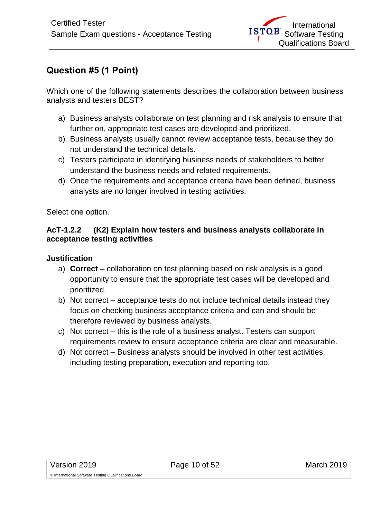# <span id="page-9-0"></span>**Question #5 (1 Point)**

Which one of the following statements describes the collaboration between business analysts and testers BEST?

- a) Business analysts collaborate on test planning and risk analysis to ensure that further on, appropriate test cases are developed and prioritized.
- b) Business analysts usually cannot review acceptance tests, because they do not understand the technical details.
- c) Testers participate in identifying business needs of stakeholders to better understand the business needs and related requirements.
- d) Once the requirements and acceptance criteria have been defined, business analysts are no longer involved in testing activities.

Select one option.

#### **AcT-1.2.2 (K2) Explain how testers and business analysts collaborate in acceptance testing activities**

- a) **Correct –** collaboration on test planning based on risk analysis is a good opportunity to ensure that the appropriate test cases will be developed and prioritized.
- b) Not correct acceptance tests do not include technical details instead they focus on checking business acceptance criteria and can and should be therefore reviewed by business analysts.
- c) Not correct this is the role of a business analyst. Testers can support requirements review to ensure acceptance criteria are clear and measurable.
- d) Not correct Business analysts should be involved in other test activities, including testing preparation, execution and reporting too.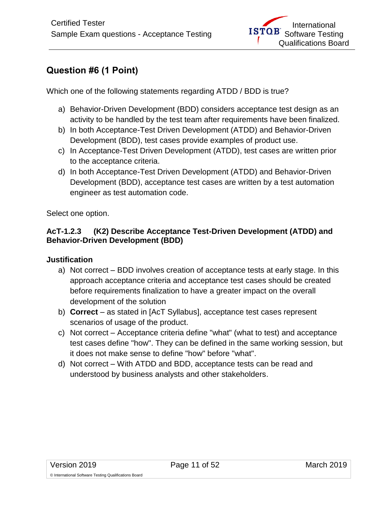# <span id="page-10-0"></span>**Question #6 (1 Point)**

Which one of the following statements regarding ATDD / BDD is true?

- a) Behavior-Driven Development (BDD) considers acceptance test design as an activity to be handled by the test team after requirements have been finalized.
- b) In both Acceptance-Test Driven Development (ATDD) and Behavior-Driven Development (BDD), test cases provide examples of product use.
- c) In Acceptance-Test Driven Development (ATDD), test cases are written prior to the acceptance criteria.
- d) In both Acceptance-Test Driven Development (ATDD) and Behavior-Driven Development (BDD), acceptance test cases are written by a test automation engineer as test automation code.

Select one option.

#### **AcT-1.2.3 (K2) Describe Acceptance Test-Driven Development (ATDD) and Behavior-Driven Development (BDD)**

- a) Not correct BDD involves creation of acceptance tests at early stage. In this approach acceptance criteria and acceptance test cases should be created before requirements finalization to have a greater impact on the overall development of the solution
- b) **Correct**  as stated in [AcT Syllabus], acceptance test cases represent scenarios of usage of the product.
- c) Not correct Acceptance criteria define "what" (what to test) and acceptance test cases define "how". They can be defined in the same working session, but it does not make sense to define "how" before "what".
- d) Not correct With ATDD and BDD, acceptance tests can be read and understood by business analysts and other stakeholders.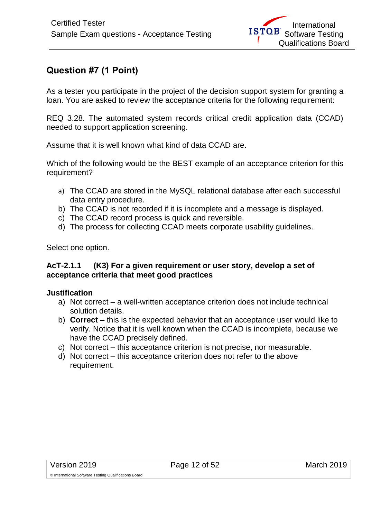## <span id="page-11-0"></span>**Question #7 (1 Point)**

As a tester you participate in the project of the decision support system for granting a loan. You are asked to review the acceptance criteria for the following requirement:

REQ 3.28. The automated system records critical credit application data (CCAD) needed to support application screening.

Assume that it is well known what kind of data CCAD are.

Which of the following would be the BEST example of an acceptance criterion for this requirement?

- a) The CCAD are stored in the MySQL relational database after each successful data entry procedure.
- b) The CCAD is not recorded if it is incomplete and a message is displayed.
- c) The CCAD record process is quick and reversible.
- d) The process for collecting CCAD meets corporate usability guidelines.

Select one option.

#### **AcT-2.1.1 (K3) For a given requirement or user story, develop a set of acceptance criteria that meet good practices**

- a) Not correct a well-written acceptance criterion does not include technical solution details.
- b) **Correct –** this is the expected behavior that an acceptance user would like to verify. Notice that it is well known when the CCAD is incomplete, because we have the CCAD precisely defined.
- c) Not correct this acceptance criterion is not precise, nor measurable.
- d) Not correct this acceptance criterion does not refer to the above requirement.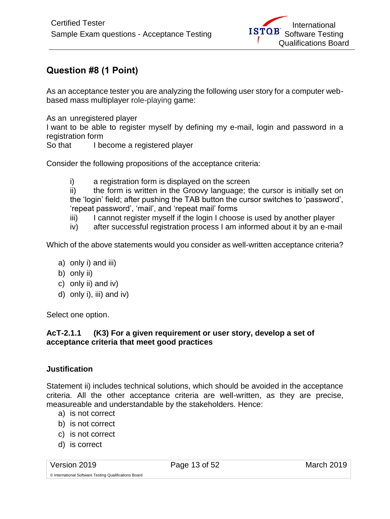# <span id="page-12-0"></span>**Question #8 (1 Point)**

As an acceptance tester you are analyzing the following user story for a computer webbased mass multiplayer role-playing game:

As an unregistered player

I want to be able to register myself by defining my e-mail, login and password in a registration form

So that I become a registered player

Consider the following propositions of the acceptance criteria:

i) a registration form is displayed on the screen

ii) the form is written in the Groovy language; the cursor is initially set on the 'login' field; after pushing the TAB button the cursor switches to 'password', 'repeat password', 'mail', and 'repeat mail' forms

- iii) I cannot register myself if the login I choose is used by another player
- iv) after successful registration process I am informed about it by an e-mail

Which of the above statements would you consider as well-written acceptance criteria?

- a) only i) and iii)
- b) only ii)
- c) only ii) and iv)
- d) only i), iii) and iv)

Select one option.

#### **AcT-2.1.1 (K3) For a given requirement or user story, develop a set of acceptance criteria that meet good practices**

## **Justification**

Statement ii) includes technical solutions, which should be avoided in the acceptance criteria. All the other acceptance criteria are well-written, as they are precise, measureable and understandable by the stakeholders. Hence:

- a) is not correct
- b) is not correct
- c) is not correct
- d) is correct

Version 2019 Page 13 of 52 March 2019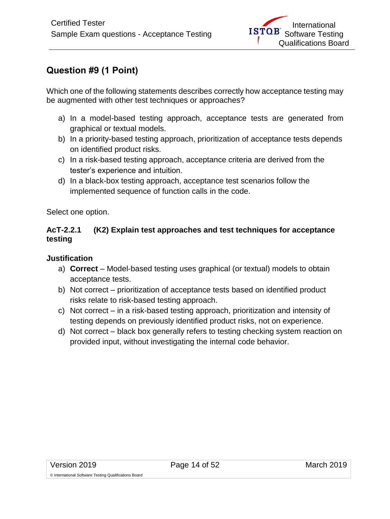# <span id="page-13-0"></span>**Question #9 (1 Point)**

Which one of the following statements describes correctly how acceptance testing may be augmented with other test techniques or approaches?

- a) In a model-based testing approach, acceptance tests are generated from graphical or textual models.
- b) In a priority-based testing approach, prioritization of acceptance tests depends on identified product risks.
- c) In a risk-based testing approach, acceptance criteria are derived from the tester's experience and intuition.
- d) In a black-box testing approach, acceptance test scenarios follow the implemented sequence of function calls in the code.

Select one option.

## **AcT-2.2.1 (K2) Explain test approaches and test techniques for acceptance testing**

## **Justification**

- a) **Correct**  Model-based testing uses graphical (or textual) models to obtain acceptance tests.
- b) Not correct prioritization of acceptance tests based on identified product risks relate to risk-based testing approach.
- c) Not correct in a risk-based testing approach, prioritization and intensity of testing depends on previously identified product risks, not on experience.
- d) Not correct black box generally refers to testing checking system reaction on provided input, without investigating the internal code behavior.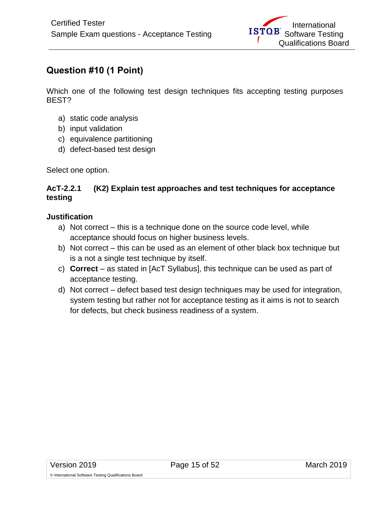# <span id="page-14-0"></span>**Question #10 (1 Point)**

Which one of the following test design techniques fits accepting testing purposes BEST?

- a) static code analysis
- b) input validation
- c) equivalence partitioning
- d) defect-based test design

Select one option.

## **AcT-2.2.1 (K2) Explain test approaches and test techniques for acceptance testing**

## **Justification**

- a) Not correct this is a technique done on the source code level, while acceptance should focus on higher business levels.
- b) Not correct this can be used as an element of other black box technique but is a not a single test technique by itself.
- c) **Correct**  as stated in [AcT Syllabus], this technique can be used as part of acceptance testing.
- d) Not correct defect based test design techniques may be used for integration, system testing but rather not for acceptance testing as it aims is not to search for defects, but check business readiness of a system.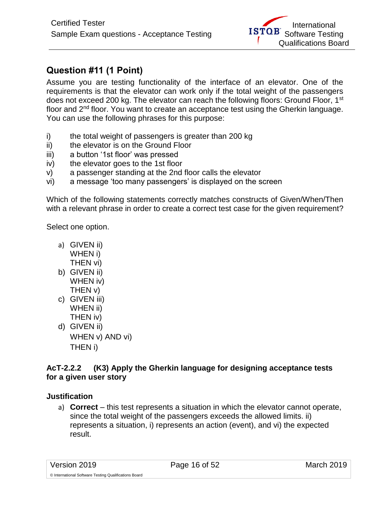# <span id="page-15-0"></span>**Question #11 (1 Point)**

Assume you are testing functionality of the interface of an elevator. One of the requirements is that the elevator can work only if the total weight of the passengers does not exceed 200 kg. The elevator can reach the following floors: Ground Floor, 1<sup>st</sup> floor and 2nd floor. You want to create an acceptance test using the Gherkin language. You can use the following phrases for this purpose:

- i) the total weight of passengers is greater than 200 kg
- ii) the elevator is on the Ground Floor
- iii) a button '1st floor' was pressed
- iv) the elevator goes to the 1st floor
- v) a passenger standing at the 2nd floor calls the elevator
- vi) a message 'too many passengers' is displayed on the screen

Which of the following statements correctly matches constructs of Given/When/Then with a relevant phrase in order to create a correct test case for the given requirement?

Select one option.

- a) GIVEN ii) WHEN i) THEN vi)
- b) GIVEN ii) WHEN iv) THEN v)
- c) GIVEN iii) WHEN ii) THEN iv)
- d) GIVEN ii) WHEN v) AND vi) THEN i)

## **AcT-2.2.2 (K3) Apply the Gherkin language for designing acceptance tests for a given user story**

## **Justification**

a) **Correct** – this test represents a situation in which the elevator cannot operate, since the total weight of the passengers exceeds the allowed limits. ii) represents a situation, i) represents an action (event), and vi) the expected result.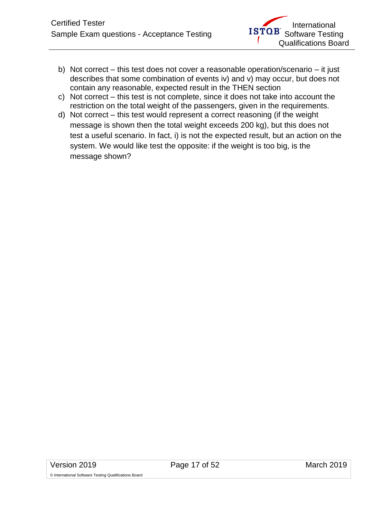- b) Not correct this test does not cover a reasonable operation/scenario it just describes that some combination of events iv) and v) may occur, but does not contain any reasonable, expected result in the THEN section
- c) Not correct this test is not complete, since it does not take into account the restriction on the total weight of the passengers, given in the requirements.
- d) Not correct this test would represent a correct reasoning (if the weight message is shown then the total weight exceeds 200 kg), but this does not test a useful scenario. In fact, i) is not the expected result, but an action on the system. We would like test the opposite: if the weight is too big, is the message shown?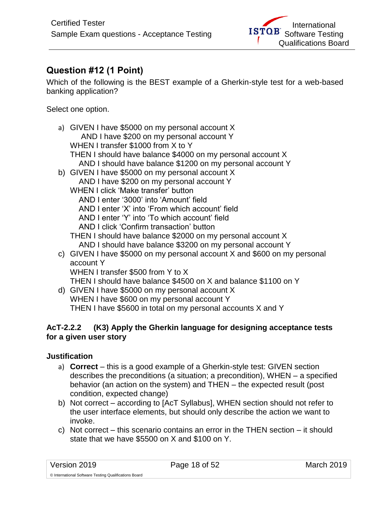# <span id="page-17-0"></span>**Question #12 (1 Point)**

Which of the following is the BEST example of a Gherkin-style test for a web-based banking application?

Select one option.

- a) GIVEN I have \$5000 on my personal account X AND I have \$200 on my personal account Y WHEN I transfer \$1000 from X to Y THEN I should have balance \$4000 on my personal account X AND I should have balance \$1200 on my personal account Y b) GIVEN I have \$5000 on my personal account X AND I have \$200 on my personal account Y
	- WHEN I click 'Make transfer' button
		- AND I enter '3000' into 'Amount' field
		- AND I enter 'X' into 'From which account' field
		- AND I enter 'Y' into 'To which account' field
		- AND I click 'Confirm transaction' button
	- THEN I should have balance \$2000 on my personal account X AND I should have balance \$3200 on my personal account Y
- c) GIVEN I have \$5000 on my personal account X and \$600 on my personal account Y
	- WHEN I transfer \$500 from Y to X
	- THEN I should have balance \$4500 on X and balance \$1100 on Y
- d) GIVEN I have \$5000 on my personal account X WHEN I have \$600 on my personal account Y THEN I have \$5600 in total on my personal accounts X and Y

## **AcT-2.2.2 (K3) Apply the Gherkin language for designing acceptance tests for a given user story**

- a) **Correct** this is a good example of a Gherkin-style test: GIVEN section describes the preconditions (a situation; a precondition), WHEN – a specified behavior (an action on the system) and THEN – the expected result (post condition, expected change)
- b) Not correct according to [AcT Syllabus], WHEN section should not refer to the user interface elements, but should only describe the action we want to invoke.
- c) Not correct this scenario contains an error in the THEN section it should state that we have \$5500 on X and \$100 on Y.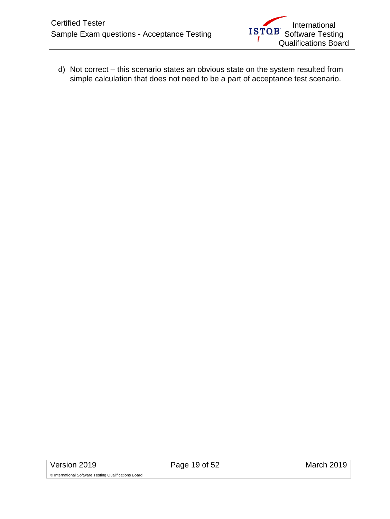d) Not correct – this scenario states an obvious state on the system resulted from simple calculation that does not need to be a part of acceptance test scenario.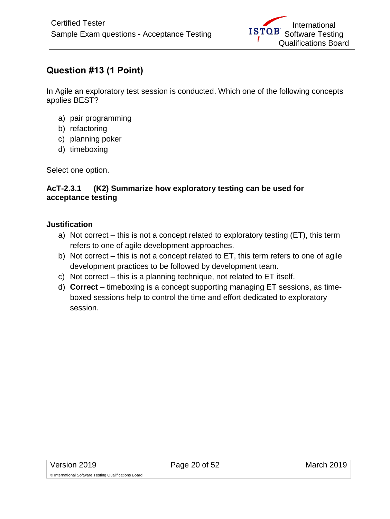# <span id="page-19-0"></span>**Question #13 (1 Point)**

In Agile an exploratory test session is conducted. Which one of the following concepts applies BEST?

- a) pair programming
- b) refactoring
- c) planning poker
- d) timeboxing

Select one option.

#### **AcT-2.3.1 (K2) Summarize how exploratory testing can be used for acceptance testing**

- a) Not correct this is not a concept related to exploratory testing (ET), this term refers to one of agile development approaches.
- b) Not correct this is not a concept related to ET, this term refers to one of agile development practices to be followed by development team.
- c) Not correct this is a planning technique, not related to ET itself.
- d) **Correct**  timeboxing is a concept supporting managing ET sessions, as timeboxed sessions help to control the time and effort dedicated to exploratory session.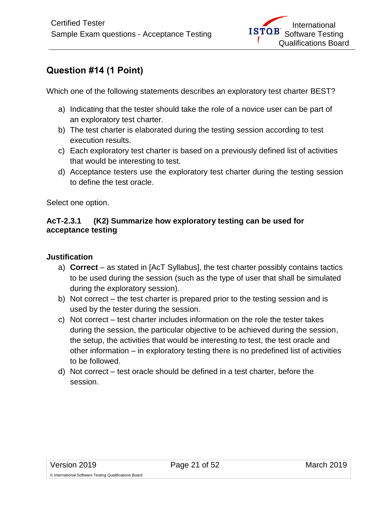# <span id="page-20-0"></span>**Question #14 (1 Point)**

Which one of the following statements describes an exploratory test charter BEST?

- a) Indicating that the tester should take the role of a novice user can be part of an exploratory test charter.
- b) The test charter is elaborated during the testing session according to test execution results.
- c) Each exploratory test charter is based on a previously defined list of activities that would be interesting to test.
- d) Acceptance testers use the exploratory test charter during the testing session to define the test oracle.

Select one option.

## **AcT-2.3.1 (K2) Summarize how exploratory testing can be used for acceptance testing**

- a) **Correct**  as stated in [AcT Syllabus], the test charter possibly contains tactics to be used during the session (such as the type of user that shall be simulated during the exploratory session).
- b) Not correct the test charter is prepared prior to the testing session and is used by the tester during the session.
- c) Not correct test charter includes information on the role the tester takes during the session, the particular objective to be achieved during the session, the setup, the activities that would be interesting to test, the test oracle and other information – in exploratory testing there is no predefined list of activities to be followed.
- d) Not correct test oracle should be defined in a test charter, before the session.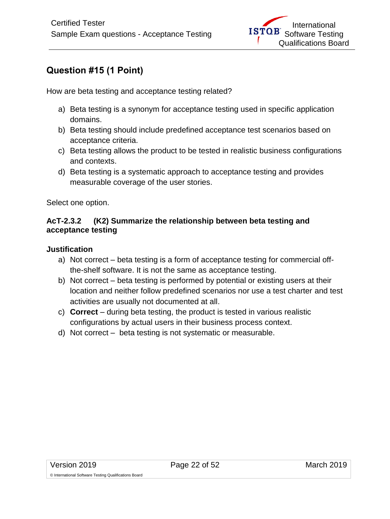# <span id="page-21-0"></span>**Question #15 (1 Point)**

How are beta testing and acceptance testing related?

- a) Beta testing is a synonym for acceptance testing used in specific application domains.
- b) Beta testing should include predefined acceptance test scenarios based on acceptance criteria.
- c) Beta testing allows the product to be tested in realistic business configurations and contexts.
- d) Beta testing is a systematic approach to acceptance testing and provides measurable coverage of the user stories.

Select one option.

## **AcT-2.3.2 (K2) Summarize the relationship between beta testing and acceptance testing**

#### **Justification**

- a) Not correct beta testing is a form of acceptance testing for commercial offthe-shelf software. It is not the same as acceptance testing.
- b) Not correct beta testing is performed by potential or existing users at their location and neither follow predefined scenarios nor use a test charter and test activities are usually not documented at all.
- c) **Correct**  during beta testing, the product is tested in various realistic configurations by actual users in their business process context.
- d) Not correct beta testing is not systematic or measurable.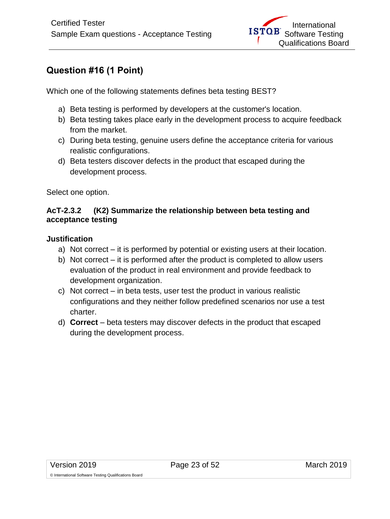# <span id="page-22-0"></span>**Question #16 (1 Point)**

Which one of the following statements defines beta testing BEST?

- a) Beta testing is performed by developers at the customer's location.
- b) Beta testing takes place early in the development process to acquire feedback from the market.
- c) During beta testing, genuine users define the acceptance criteria for various realistic configurations.
- d) Beta testers discover defects in the product that escaped during the development process.

Select one option.

## **AcT-2.3.2 (K2) Summarize the relationship between beta testing and acceptance testing**

- a) Not correct it is performed by potential or existing users at their location.
- b) Not correct it is performed after the product is completed to allow users evaluation of the product in real environment and provide feedback to development organization.
- c) Not correct in beta tests, user test the product in various realistic configurations and they neither follow predefined scenarios nor use a test charter.
- d) **Correct**  beta testers may discover defects in the product that escaped during the development process.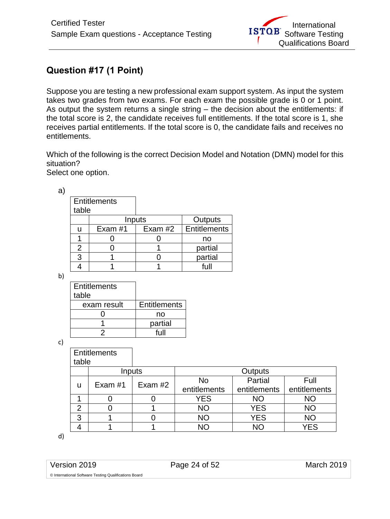# <span id="page-23-0"></span>**Question #17 (1 Point)**

Suppose you are testing a new professional exam support system. As input the system takes two grades from two exams. For each exam the possible grade is 0 or 1 point. As output the system returns a single string – the decision about the entitlements: if the total score is 2, the candidate receives full entitlements. If the total score is 1, she receives partial entitlements. If the total score is 0, the candidate fails and receives no entitlements.

Which of the following is the correct Decision Model and Notation (DMN) model for this situation?

Select one option.

| a |                     |         |           |              |
|---|---------------------|---------|-----------|--------------|
|   | <b>Entitlements</b> |         |           |              |
|   | table               |         |           |              |
|   |                     |         | Inputs    | Outputs      |
|   | u                   | Exam #1 | Exam $#2$ | Entitlements |
|   |                     |         |           | no           |
|   | 2                   |         |           | partial      |
|   | 3                   |         |           | partial      |
|   |                     |         |           |              |

b)

| <b>Entitlements</b><br>table |                     |
|------------------------------|---------------------|
| exam result                  | <b>Entitlements</b> |
|                              | no                  |
|                              | partial             |
|                              | full                |

c)

|                | <b>Entitlements</b> |           |                |              |              |
|----------------|---------------------|-----------|----------------|--------------|--------------|
| table          |                     |           |                |              |              |
|                | Inputs              |           | <b>Outputs</b> |              |              |
|                | Exam #1             | Exam $#2$ | No             | Partial      | Full         |
| u              |                     |           | entitlements   | entitlements | entitlements |
|                |                     |           | <b>YES</b>     | <b>NO</b>    | ΝO           |
| $\overline{2}$ |                     |           | <b>NO</b>      | <b>YES</b>   | <b>NO</b>    |
| 3              |                     |           | <b>NO</b>      | <b>YES</b>   | <b>NO</b>    |
|                |                     |           | NΩ             | NΟ           | <b>YES</b>   |

d)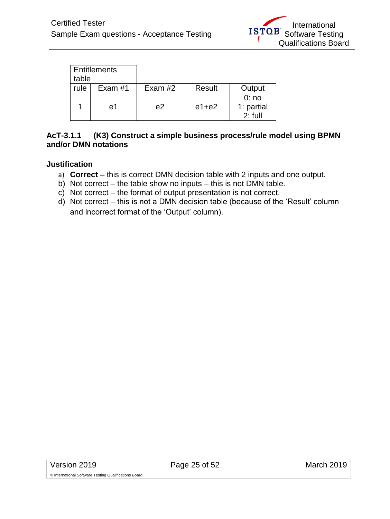| table | <b>Entitlements</b> |           |         |                                 |
|-------|---------------------|-----------|---------|---------------------------------|
| rule  | Exam #1             | Exam $#2$ | Result  | Output                          |
|       | e1                  | e2        | $e1+e2$ | 0:no<br>1: partial<br>$2:$ full |

#### **AcT-3.1.1 (K3) Construct a simple business process/rule model using BPMN and/or DMN notations**

#### **Justification**

- a) **Correct –** this is correct DMN decision table with 2 inputs and one output.
- b) Not correct the table show no inputs this is not DMN table.
- c) Not correct the format of output presentation is not correct.
- d) Not correct this is not a DMN decision table (because of the 'Result' column and incorrect format of the 'Output' column).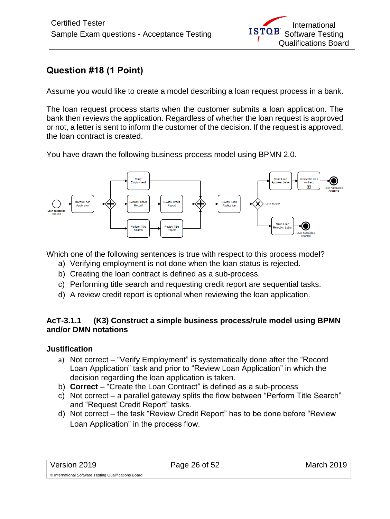# <span id="page-25-0"></span>**Question #18 (1 Point)**

Assume you would like to create a model describing a loan request process in a bank.

The loan request process starts when the customer submits a loan application. The bank then reviews the application. Regardless of whether the loan request is approved or not, a letter is sent to inform the customer of the decision. If the request is approved, the loan contract is created.

You have drawn the following business process model using BPMN 2.0.



Which one of the following sentences is true with respect to this process model?

- a) Verifying employment is not done when the loan status is rejected.
- b) Creating the loan contract is defined as a sub-process.
- c) Performing title search and requesting credit report are sequential tasks.
- d) A review credit report is optional when reviewing the loan application.

#### **AcT-3.1.1 (K3) Construct a simple business process/rule model using BPMN and/or DMN notations**

- a) Not correct "Verify Employment" is systematically done after the "Record Loan Application" task and prior to "Review Loan Application" in which the decision regarding the loan application is taken.
- b) **Correct** "Create the Loan Contract" is defined as a sub-process
- c) Not correct a parallel gateway splits the flow between "Perform Title Search" and "Request Credit Report" tasks.
- d) Not correct the task "Review Credit Report" has to be done before "Review Loan Application" in the process flow.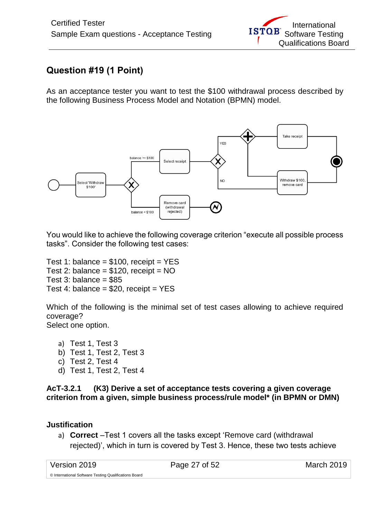# <span id="page-26-0"></span>**Question #19 (1 Point)**

As an acceptance tester you want to test the \$100 withdrawal process described by the following Business Process Model and Notation (BPMN) model.



You would like to achieve the following coverage criterion "execute all possible process tasks". Consider the following test cases:

Test 1: balance =  $$100$ , receipt = YES Test 2: balance =  $$120$ , receipt = NO Test 3: balance  $= $85$ Test 4: balance =  $$20$ , receipt = YES

Which of the following is the minimal set of test cases allowing to achieve required coverage? Select one option.

a) Test 1, Test 3 b) Test 1, Test 2, Test 3 c) Test 2, Test 4 d) Test 1, Test 2, Test 4

**AcT-3.2.1 (K3) Derive a set of acceptance tests covering a given coverage criterion from a given, simple business process/rule model\* (in BPMN or DMN)**

## **Justification**

a) **Correct** –Test 1 covers all the tasks except 'Remove card (withdrawal rejected)', which in turn is covered by Test 3. Hence, these two tests achieve

| Version 2019                                          | Page 27 of 52 | March 2019 |
|-------------------------------------------------------|---------------|------------|
| © International Software Testing Qualifications Board |               |            |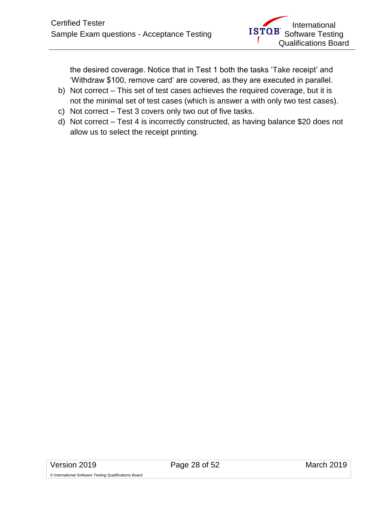the desired coverage. Notice that in Test 1 both the tasks 'Take receipt' and 'Withdraw \$100, remove card' are covered, as they are executed in parallel.

- b) Not correct This set of test cases achieves the required coverage, but it is not the minimal set of test cases (which is answer a with only two test cases).
- c) Not correct Test 3 covers only two out of five tasks.
- d) Not correct Test 4 is incorrectly constructed, as having balance \$20 does not allow us to select the receipt printing.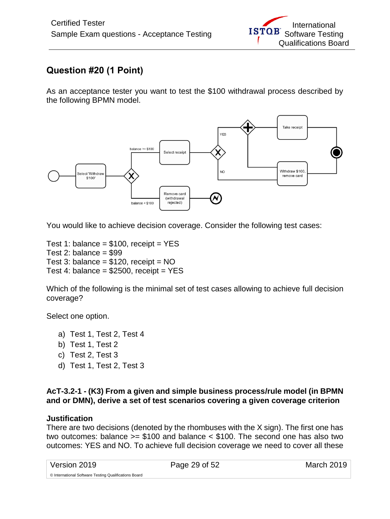# <span id="page-28-0"></span>**Question #20 (1 Point)**

As an acceptance tester you want to test the \$100 withdrawal process described by the following BPMN model.



You would like to achieve decision coverage. Consider the following test cases:

Test 1: balance =  $$100$ , receipt = YES Test 2: balance  $= $99$ Test 3: balance =  $$120$ , receipt = NO Test 4: balance =  $$2500$ , receipt = YES

Which of the following is the minimal set of test cases allowing to achieve full decision coverage?

Select one option.

- a) Test 1, Test 2, Test 4
- b) Test 1, Test 2
- c) Test 2, Test 3
- d) Test 1, Test 2, Test 3

#### **AcT-3.2-1 - (K3) From a given and simple business process/rule model (in BPMN and or DMN), derive a set of test scenarios covering a given coverage criterion**

#### **Justification**

There are two decisions (denoted by the rhombuses with the X sign). The first one has two outcomes: balance >= \$100 and balance < \$100. The second one has also two outcomes: YES and NO. To achieve full decision coverage we need to cover all these

| Version 2019                                          | Page 29 of 52 | March 2019 |
|-------------------------------------------------------|---------------|------------|
| © International Software Testing Qualifications Board |               |            |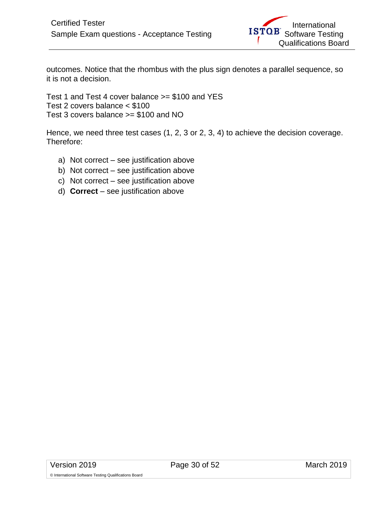outcomes. Notice that the rhombus with the plus sign denotes a parallel sequence, so it is not a decision.

Test 1 and Test 4 cover balance >= \$100 and YES Test 2 covers balance < \$100 Test 3 covers balance >= \$100 and NO

Hence, we need three test cases (1, 2, 3 or 2, 3, 4) to achieve the decision coverage. Therefore:

- a) Not correct see justification above
- b) Not correct see justification above
- c) Not correct see justification above
- d) **Correct**  see justification above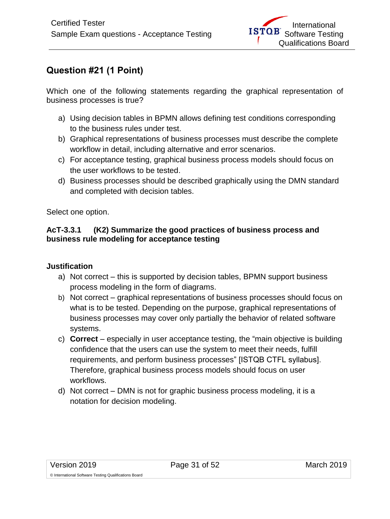# <span id="page-30-0"></span>**Question #21 (1 Point)**

Which one of the following statements regarding the graphical representation of business processes is true?

- a) Using decision tables in BPMN allows defining test conditions corresponding to the business rules under test.
- b) Graphical representations of business processes must describe the complete workflow in detail, including alternative and error scenarios.
- c) For acceptance testing, graphical business process models should focus on the user workflows to be tested.
- d) Business processes should be described graphically using the DMN standard and completed with decision tables.

Select one option.

#### **AcT-3.3.1 (K2) Summarize the good practices of business process and business rule modeling for acceptance testing**

- a) Not correct this is supported by decision tables, BPMN support business process modeling in the form of diagrams.
- b) Not correct graphical representations of business processes should focus on what is to be tested. Depending on the purpose, graphical representations of business processes may cover only partially the behavior of related software systems.
- c) **Correct**  especially in user acceptance testing, the "main objective is building confidence that the users can use the system to meet their needs, fulfill requirements, and perform business processes" [ISTQB CTFL syllabus]. Therefore, graphical business process models should focus on user workflows.
- d) Not correct DMN is not for graphic business process modeling, it is a notation for decision modeling.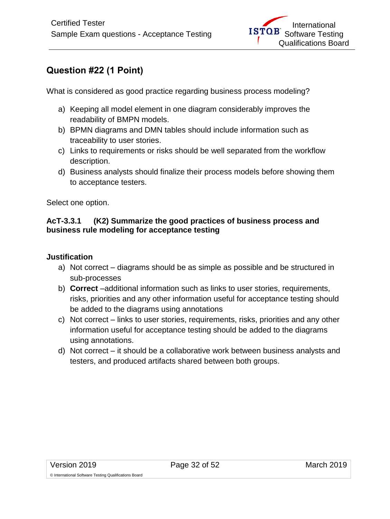# <span id="page-31-0"></span>**Question #22 (1 Point)**

What is considered as good practice regarding business process modeling?

- a) Keeping all model element in one diagram considerably improves the readability of BMPN models.
- b) BPMN diagrams and DMN tables should include information such as traceability to user stories.
- c) Links to requirements or risks should be well separated from the workflow description.
- d) Business analysts should finalize their process models before showing them to acceptance testers.

Select one option.

## **AcT-3.3.1 (K2) Summarize the good practices of business process and business rule modeling for acceptance testing**

- a) Not correct diagrams should be as simple as possible and be structured in sub-processes
- b) **Correct** –additional information such as links to user stories, requirements, risks, priorities and any other information useful for acceptance testing should be added to the diagrams using annotations
- c) Not correct links to user stories, requirements, risks, priorities and any other information useful for acceptance testing should be added to the diagrams using annotations.
- d) Not correct it should be a collaborative work between business analysts and testers, and produced artifacts shared between both groups.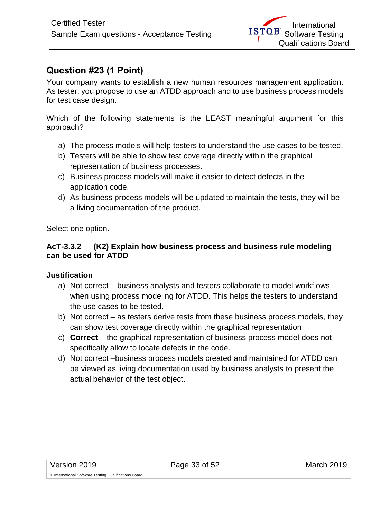## <span id="page-32-0"></span>**Question #23 (1 Point)**

Your company wants to establish a new human resources management application. As tester, you propose to use an ATDD approach and to use business process models for test case design.

Which of the following statements is the LEAST meaningful argument for this approach?

- a) The process models will help testers to understand the use cases to be tested.
- b) Testers will be able to show test coverage directly within the graphical representation of business processes.
- c) Business process models will make it easier to detect defects in the application code.
- d) As business process models will be updated to maintain the tests, they will be a living documentation of the product.

Select one option.

#### **AcT-3.3.2 (K2) Explain how business process and business rule modeling can be used for ATDD**

- a) Not correct business analysts and testers collaborate to model workflows when using process modeling for ATDD. This helps the testers to understand the use cases to be tested.
- b) Not correct as testers derive tests from these business process models, they can show test coverage directly within the graphical representation
- c) **Correct** the graphical representation of business process model does not specifically allow to locate defects in the code.
- d) Not correct –business process models created and maintained for ATDD can be viewed as living documentation used by business analysts to present the actual behavior of the test object.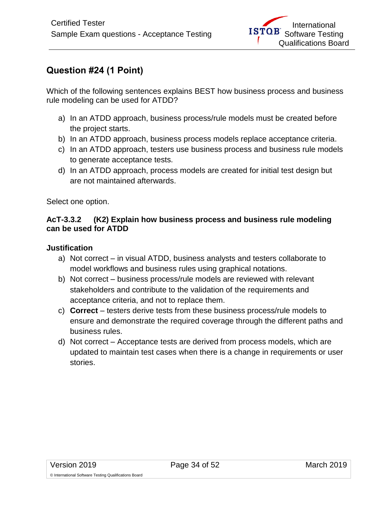# <span id="page-33-0"></span>**Question #24 (1 Point)**

Which of the following sentences explains BEST how business process and business rule modeling can be used for ATDD?

- a) In an ATDD approach, business process/rule models must be created before the project starts.
- b) In an ATDD approach, business process models replace acceptance criteria.
- c) In an ATDD approach, testers use business process and business rule models to generate acceptance tests.
- d) In an ATDD approach, process models are created for initial test design but are not maintained afterwards.

Select one option.

#### **AcT-3.3.2 (K2) Explain how business process and business rule modeling can be used for ATDD**

- a) Not correct in visual ATDD, business analysts and testers collaborate to model workflows and business rules using graphical notations.
- b) Not correct business process/rule models are reviewed with relevant stakeholders and contribute to the validation of the requirements and acceptance criteria, and not to replace them.
- c) **Correct** testers derive tests from these business process/rule models to ensure and demonstrate the required coverage through the different paths and business rules.
- d) Not correct Acceptance tests are derived from process models, which are updated to maintain test cases when there is a change in requirements or user stories.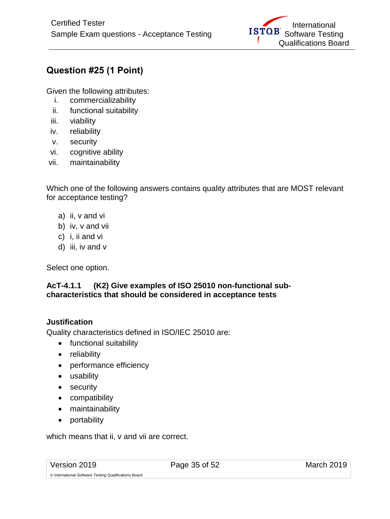# <span id="page-34-0"></span>**Question #25 (1 Point)**

Given the following attributes:

- i. commercializability
- ii. functional suitability
- iii. viability
- iv. reliability
- v. security
- vi. cognitive ability
- vii. maintainability

Which one of the following answers contains quality attributes that are MOST relevant for acceptance testing?

- a) ii, v and vi
- b) iv, v and vii
- c) i, ii and vi
- d) iii, iv and v

Select one option.

## **AcT-4.1.1 (K2) Give examples of ISO 25010 non-functional subcharacteristics that should be considered in acceptance tests**

## **Justification**

Quality characteristics defined in ISO/IEC 25010 are:

- functional suitability
- reliability
- performance efficiency
- usability
- security
- compatibility
- maintainability
- portability

which means that ii, v and vii are correct.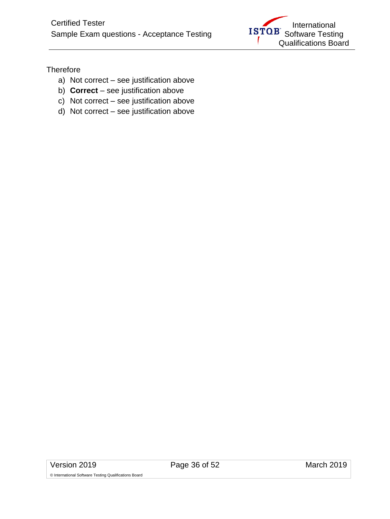

**Therefore** 

- a) Not correct see justification above
- b) **Correct**  see justification above
- c) Not correct see justification above
- d) Not correct see justification above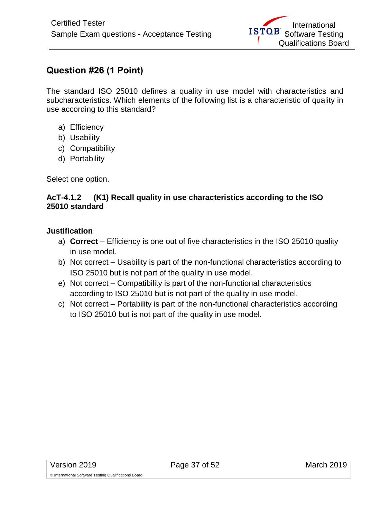# <span id="page-36-0"></span>**Question #26 (1 Point)**

The standard ISO 25010 defines a quality in use model with characteristics and subcharacteristics. Which elements of the following list is a characteristic of quality in use according to this standard?

- a) Efficiency
- b) Usability
- c) Compatibility
- d) Portability

Select one option.

#### **AcT-4.1.2 (K1) Recall quality in use characteristics according to the ISO 25010 standard**

#### **Justification**

- a) **Correct** Efficiency is one out of five characteristics in the ISO 25010 quality in use model.
- b) Not correct Usability is part of the non-functional characteristics according to ISO 25010 but is not part of the quality in use model.
- e) Not correct Compatibility is part of the non-functional characteristics according to ISO 25010 but is not part of the quality in use model.
- c) Not correct Portability is part of the non-functional characteristics according to ISO 25010 but is not part of the quality in use model.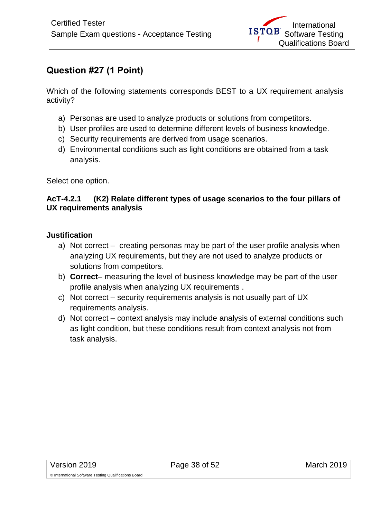# <span id="page-37-0"></span>**Question #27 (1 Point)**

Which of the following statements corresponds BEST to a UX requirement analysis activity?

- a) Personas are used to analyze products or solutions from competitors.
- b) User profiles are used to determine different levels of business knowledge.
- c) Security requirements are derived from usage scenarios.
- d) Environmental conditions such as light conditions are obtained from a task analysis.

Select one option.

## **AcT-4.2.1 (K2) Relate different types of usage scenarios to the four pillars of UX requirements analysis**

- a) Not correct creating personas may be part of the user profile analysis when analyzing UX requirements, but they are not used to analyze products or solutions from competitors.
- b) **Correct** measuring the level of business knowledge may be part of the user profile analysis when analyzing UX requirements .
- c) Not correct security requirements analysis is not usually part of UX requirements analysis.
- d) Not correct context analysis may include analysis of external conditions such as light condition, but these conditions result from context analysis not from task analysis.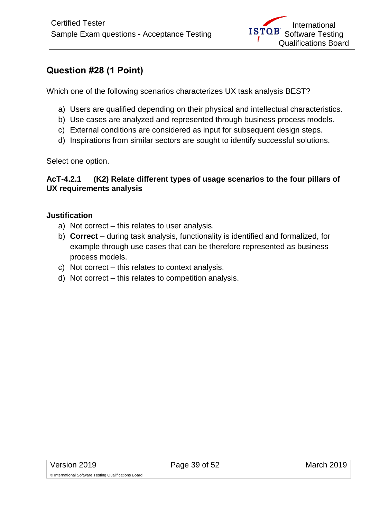## <span id="page-38-0"></span>**Question #28 (1 Point)**

Which one of the following scenarios characterizes UX task analysis BEST?

- a) Users are qualified depending on their physical and intellectual characteristics.
- b) Use cases are analyzed and represented through business process models.
- c) External conditions are considered as input for subsequent design steps.
- d) Inspirations from similar sectors are sought to identify successful solutions.

Select one option.

#### **AcT-4.2.1 (K2) Relate different types of usage scenarios to the four pillars of UX requirements analysis**

#### **Justification**

- a) Not correct this relates to user analysis.
- b) **Correct** during task analysis, functionality is identified and formalized, for example through use cases that can be therefore represented as business process models.
- c) Not correct this relates to context analysis.
- d) Not correct this relates to competition analysis.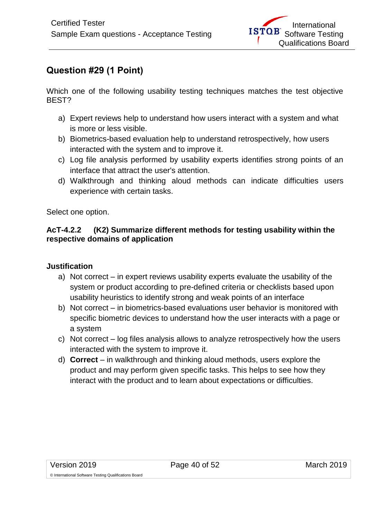# <span id="page-39-0"></span>**Question #29 (1 Point)**

Which one of the following usability testing techniques matches the test objective BEST?

- a) Expert reviews help to understand how users interact with a system and what is more or less visible.
- b) Biometrics-based evaluation help to understand retrospectively, how users interacted with the system and to improve it.
- c) Log file analysis performed by usability experts identifies strong points of an interface that attract the user's attention.
- d) Walkthrough and thinking aloud methods can indicate difficulties users experience with certain tasks.

Select one option.

## **AcT-4.2.2 (K2) Summarize different methods for testing usability within the respective domains of application**

- a) Not correct in expert reviews usability experts evaluate the usability of the system or product according to pre-defined criteria or checklists based upon usability heuristics to identify strong and weak points of an interface
- b) Not correct in biometrics-based evaluations user behavior is monitored with specific biometric devices to understand how the user interacts with a page or a system
- c) Not correct log files analysis allows to analyze retrospectively how the users interacted with the system to improve it.
- d) **Correct**  in walkthrough and thinking aloud methods, users explore the product and may perform given specific tasks. This helps to see how they interact with the product and to learn about expectations or difficulties.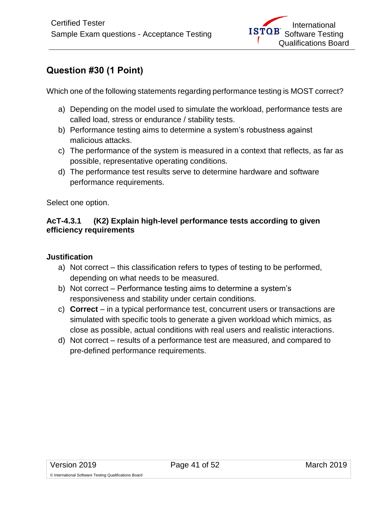# <span id="page-40-0"></span>**Question #30 (1 Point)**

Which one of the following statements regarding performance testing is MOST correct?

- a) Depending on the model used to simulate the workload, performance tests are called load, stress or endurance / stability tests.
- b) Performance testing aims to determine a system's robustness against malicious attacks.
- c) The performance of the system is measured in a context that reflects, as far as possible, representative operating conditions.
- d) The performance test results serve to determine hardware and software performance requirements.

Select one option.

## **AcT-4.3.1 (K2) Explain high-level performance tests according to given efficiency requirements**

- a) Not correct this classification refers to types of testing to be performed, depending on what needs to be measured.
- b) Not correct Performance testing aims to determine a system's responsiveness and stability under certain conditions.
- c) **Correct**  in a typical performance test, concurrent users or transactions are simulated with specific tools to generate a given workload which mimics, as close as possible, actual conditions with real users and realistic interactions.
- d) Not correct results of a performance test are measured, and compared to pre-defined performance requirements.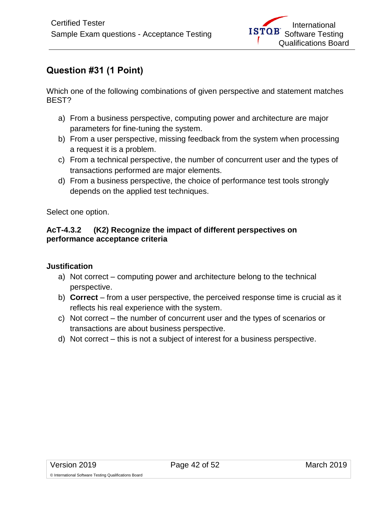# <span id="page-41-0"></span>**Question #31 (1 Point)**

Which one of the following combinations of given perspective and statement matches BEST?

- a) From a business perspective, computing power and architecture are major parameters for fine-tuning the system.
- b) From a user perspective, missing feedback from the system when processing a request it is a problem.
- c) From a technical perspective, the number of concurrent user and the types of transactions performed are major elements.
- d) From a business perspective, the choice of performance test tools strongly depends on the applied test techniques.

Select one option.

#### **AcT-4.3.2 (K2) Recognize the impact of different perspectives on performance acceptance criteria**

- a) Not correct computing power and architecture belong to the technical perspective.
- b) **Correct**  from a user perspective, the perceived response time is crucial as it reflects his real experience with the system.
- c) Not correct the number of concurrent user and the types of scenarios or transactions are about business perspective.
- d) Not correct this is not a subject of interest for a business perspective.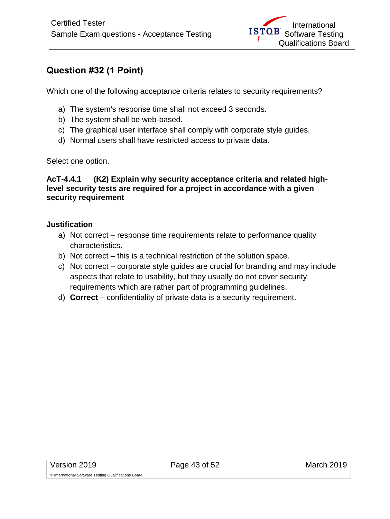## <span id="page-42-0"></span>**Question #32 (1 Point)**

Which one of the following acceptance criteria relates to security requirements?

- a) The system's response time shall not exceed 3 seconds.
- b) The system shall be web-based.
- c) The graphical user interface shall comply with corporate style guides.
- d) Normal users shall have restricted access to private data.

Select one option.

#### **AcT-4.4.1 (K2) Explain why security acceptance criteria and related highlevel security tests are required for a project in accordance with a given security requirement**

#### **Justification**

- a) Not correct response time requirements relate to performance quality characteristics.
- b) Not correct this is a technical restriction of the solution space.
- c) Not correct corporate style guides are crucial for branding and may include aspects that relate to usability, but they usually do not cover security requirements which are rather part of programming guidelines.
- d) **Correct**  confidentiality of private data is a security requirement.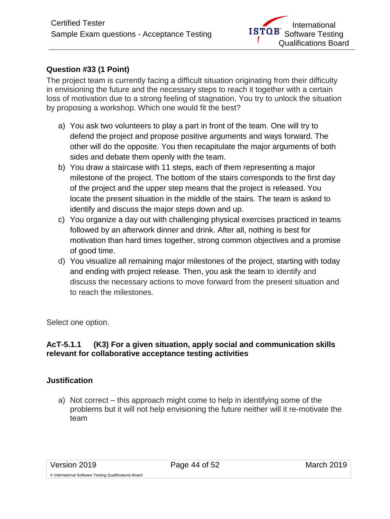## <span id="page-43-0"></span>**Question #33 (1 Point)**

The project team is currently facing a difficult situation originating from their difficulty in envisioning the future and the necessary steps to reach it together with a certain loss of motivation due to a strong feeling of stagnation. You try to unlock the situation by proposing a workshop. Which one would fit the best?

- a) You ask two volunteers to play a part in front of the team. One will try to defend the project and propose positive arguments and ways forward. The other will do the opposite. You then recapitulate the major arguments of both sides and debate them openly with the team.
- b) You draw a staircase with 11 steps, each of them representing a major milestone of the project. The bottom of the stairs corresponds to the first day of the project and the upper step means that the project is released. You locate the present situation in the middle of the stairs. The team is asked to identify and discuss the major steps down and up.
- c) You organize a day out with challenging physical exercises practiced in teams followed by an afterwork dinner and drink. After all, nothing is best for motivation than hard times together, strong common objectives and a promise of good time.
- d) You visualize all remaining major milestones of the project, starting with today and ending with project release. Then, you ask the team to identify and discuss the necessary actions to move forward from the present situation and to reach the milestones.

Select one option.

## **AcT-5.1.1 (K3) For a given situation, apply social and communication skills relevant for collaborative acceptance testing activities**

#### **Justification**

a) Not correct – this approach might come to help in identifying some of the problems but it will not help envisioning the future neither will it re-motivate the team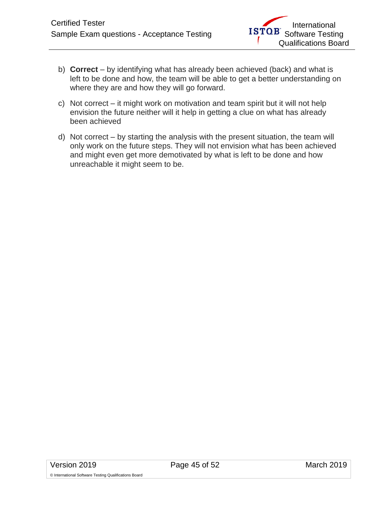- b) **Correct** by identifying what has already been achieved (back) and what is left to be done and how, the team will be able to get a better understanding on where they are and how they will go forward.
- c) Not correct it might work on motivation and team spirit but it will not help envision the future neither will it help in getting a clue on what has already been achieved
- d) Not correct by starting the analysis with the present situation, the team will only work on the future steps. They will not envision what has been achieved and might even get more demotivated by what is left to be done and how unreachable it might seem to be.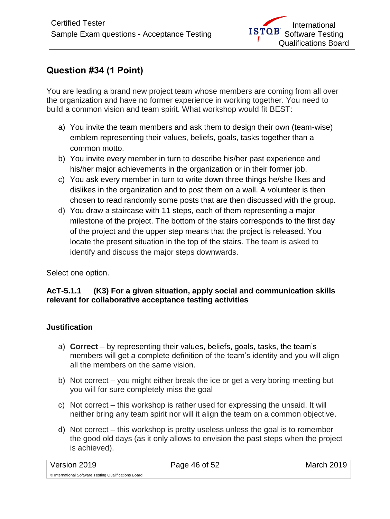# <span id="page-45-0"></span>**Question #34 (1 Point)**

You are leading a brand new project team whose members are coming from all over the organization and have no former experience in working together. You need to build a common vision and team spirit. What workshop would fit BEST:

- a) You invite the team members and ask them to design their own (team-wise) emblem representing their values, beliefs, goals, tasks together than a common motto.
- b) You invite every member in turn to describe his/her past experience and his/her major achievements in the organization or in their former job.
- c) You ask every member in turn to write down three things he/she likes and dislikes in the organization and to post them on a wall. A volunteer is then chosen to read randomly some posts that are then discussed with the group.
- d) You draw a staircase with 11 steps, each of them representing a major milestone of the project. The bottom of the stairs corresponds to the first day of the project and the upper step means that the project is released. You locate the present situation in the top of the stairs. The team is asked to identify and discuss the major steps downwards.

Select one option.

## **AcT-5.1.1 (K3) For a given situation, apply social and communication skills relevant for collaborative acceptance testing activities**

- a) **Correct** by representing their values, beliefs, goals, tasks, the team's members will get a complete definition of the team's identity and you will align all the members on the same vision.
- b) Not correct you might either break the ice or get a very boring meeting but you will for sure completely miss the goal
- c) Not correct this workshop is rather used for expressing the unsaid. It will neither bring any team spirit nor will it align the team on a common objective.
- d) Not correct this workshop is pretty useless unless the goal is to remember the good old days (as it only allows to envision the past steps when the project is achieved).

| Version 2019                                          | Page 46 of 52 | March 2019 |
|-------------------------------------------------------|---------------|------------|
| © International Software Testing Qualifications Board |               |            |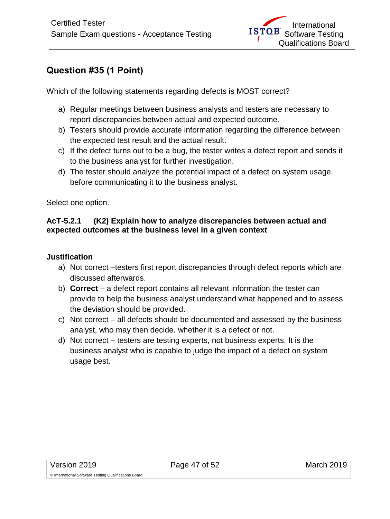# <span id="page-46-0"></span>**Question #35 (1 Point)**

Which of the following statements regarding defects is MOST correct?

- a) Regular meetings between business analysts and testers are necessary to report discrepancies between actual and expected outcome.
- b) Testers should provide accurate information regarding the difference between the expected test result and the actual result.
- c) If the defect turns out to be a bug, the tester writes a defect report and sends it to the business analyst for further investigation.
- d) The tester should analyze the potential impact of a defect on system usage, before communicating it to the business analyst.

Select one option.

## **AcT-5.2.1 (K2) Explain how to analyze discrepancies between actual and expected outcomes at the business level in a given context**

- a) Not correct –testers first report discrepancies through defect reports which are discussed afterwards.
- b) **Correct**  a defect report contains all relevant information the tester can provide to help the business analyst understand what happened and to assess the deviation should be provided.
- c) Not correct all defects should be documented and assessed by the business analyst, who may then decide. whether it is a defect or not.
- d) Not correct testers are testing experts, not business experts. It is the business analyst who is capable to judge the impact of a defect on system usage best.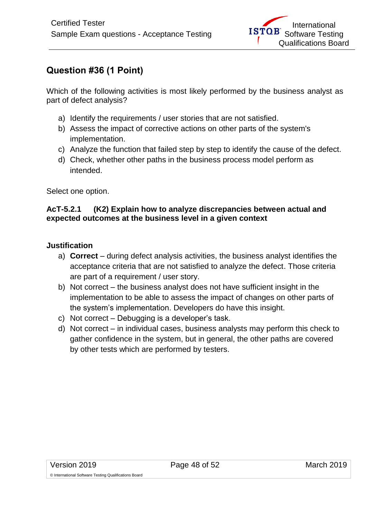# <span id="page-47-0"></span>**Question #36 (1 Point)**

Which of the following activities is most likely performed by the business analyst as part of defect analysis?

- a) Identify the requirements / user stories that are not satisfied.
- b) Assess the impact of corrective actions on other parts of the system's implementation.
- c) Analyze the function that failed step by step to identify the cause of the defect.
- d) Check, whether other paths in the business process model perform as intended.

Select one option.

## **AcT-5.2.1 (K2) Explain how to analyze discrepancies between actual and expected outcomes at the business level in a given context**

- a) **Correct**  during defect analysis activities, the business analyst identifies the acceptance criteria that are not satisfied to analyze the defect. Those criteria are part of a requirement / user story.
- b) Not correct the business analyst does not have sufficient insight in the implementation to be able to assess the impact of changes on other parts of the system's implementation. Developers do have this insight.
- c) Not correct Debugging is a developer's task.
- d) Not correct in individual cases, business analysts may perform this check to gather confidence in the system, but in general, the other paths are covered by other tests which are performed by testers.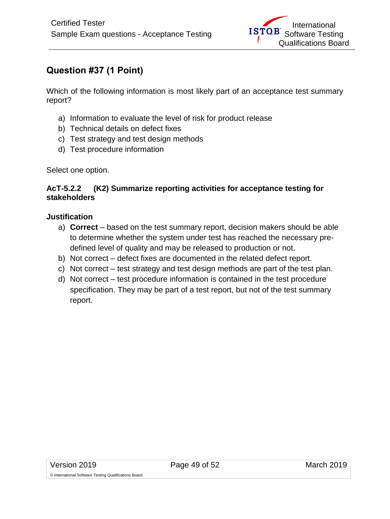# <span id="page-48-0"></span>**Question #37 (1 Point)**

Which of the following information is most likely part of an acceptance test summary report?

- a) Information to evaluate the level of risk for product release
- b) Technical details on defect fixes
- c) Test strategy and test design methods
- d) Test procedure information

Select one option.

#### **AcT-5.2.2 (K2) Summarize reporting activities for acceptance testing for stakeholders**

#### **Justification**

- a) **Correct**  based on the test summary report, decision makers should be able to determine whether the system under test has reached the necessary predefined level of quality and may be released to production or not.
- b) Not correct defect fixes are documented in the related defect report.
- c) Not correct test strategy and test design methods are part of the test plan.
- d) Not correct test procedure information is contained in the test procedure specification. They may be part of a test report, but not of the test summary report.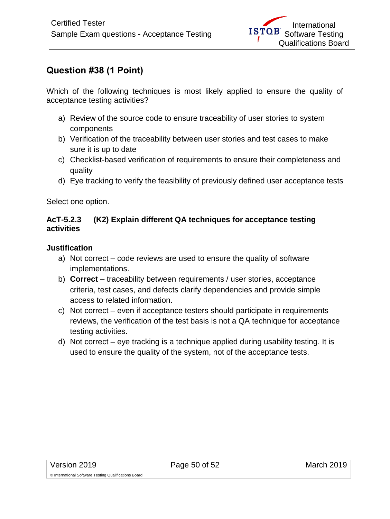# <span id="page-49-0"></span>**Question #38 (1 Point)**

Which of the following techniques is most likely applied to ensure the quality of acceptance testing activities?

- a) Review of the source code to ensure traceability of user stories to system components
- b) Verification of the traceability between user stories and test cases to make sure it is up to date
- c) Checklist-based verification of requirements to ensure their completeness and quality
- d) Eye tracking to verify the feasibility of previously defined user acceptance tests

Select one option.

#### **AcT-5.2.3 (K2) Explain different QA techniques for acceptance testing activities**

- a) Not correct code reviews are used to ensure the quality of software implementations.
- b) **Correct**  traceability between requirements / user stories, acceptance criteria, test cases, and defects clarify dependencies and provide simple access to related information.
- c) Not correct even if acceptance testers should participate in requirements reviews, the verification of the test basis is not a QA technique for acceptance testing activities.
- d) Not correct eye tracking is a technique applied during usability testing. It is used to ensure the quality of the system, not of the acceptance tests.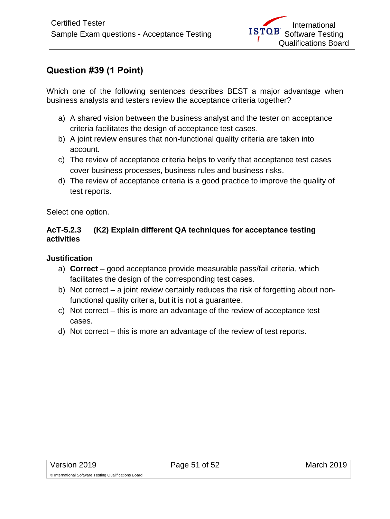## <span id="page-50-0"></span>**Question #39 (1 Point)**

Which one of the following sentences describes BEST a major advantage when business analysts and testers review the acceptance criteria together?

- a) A shared vision between the business analyst and the tester on acceptance criteria facilitates the design of acceptance test cases.
- b) A joint review ensures that non-functional quality criteria are taken into account.
- c) The review of acceptance criteria helps to verify that acceptance test cases cover business processes, business rules and business risks.
- d) The review of acceptance criteria is a good practice to improve the quality of test reports.

Select one option.

#### **AcT-5.2.3 (K2) Explain different QA techniques for acceptance testing activities**

## **Justification**

- a) **Correct**  good acceptance provide measurable pass/fail criteria, which facilitates the design of the corresponding test cases.
- b) Not correct a joint review certainly reduces the risk of forgetting about nonfunctional quality criteria, but it is not a guarantee.
- c) Not correct this is more an advantage of the review of acceptance test cases.
- d) Not correct this is more an advantage of the review of test reports.